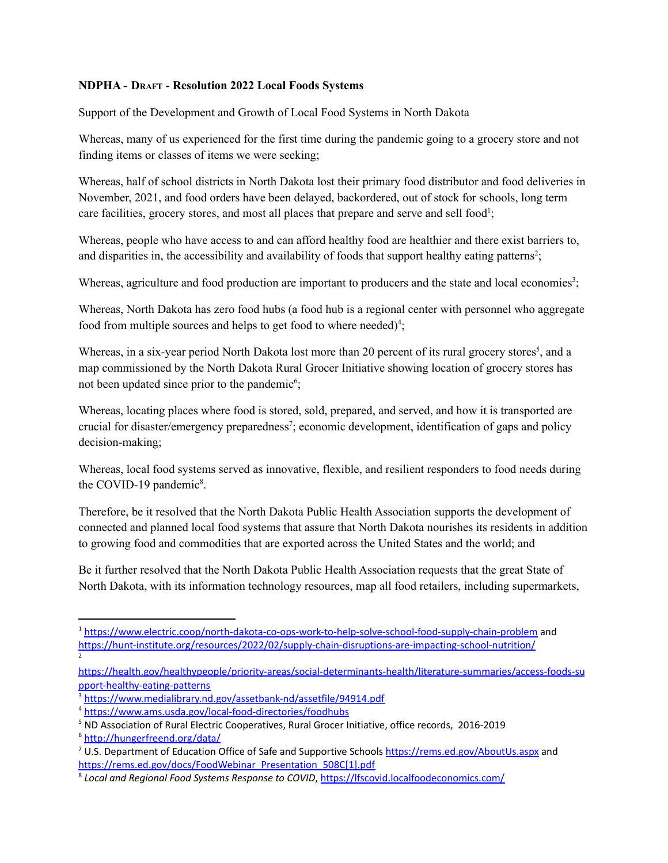## **NDPHA - DRAFT - Resolution 2022 Local Foods Systems**

Support of the Development and Growth of Local Food Systems in North Dakota

Whereas, many of us experienced for the first time during the pandemic going to a grocery store and not finding items or classes of items we were seeking;

Whereas, half of school districts in North Dakota lost their primary food distributor and food deliveries in November, 2021, and food orders have been delayed, backordered, out of stock for schools, long term care facilities, grocery stores, and most all places that prepare and serve and sell food<sup>1</sup>;

Whereas, people who have access to and can afford healthy food are healthier and there exist barriers to, and disparities in, the accessibility and availability of foods that support healthy eating patterns<sup>2</sup>;

Whereas, agriculture and food production are important to producers and the state and local economies<sup>3</sup>;

Whereas, North Dakota has zero food hubs (a food hub is a regional center with personnel who aggregate food from multiple sources and helps to get food to where needed)<sup>4</sup>;

Whereas, in a six-year period North Dakota lost more than 20 percent of its rural grocery stores<sup>5</sup>, and a map commissioned by the North Dakota Rural Grocer Initiative showing location of grocery stores has not been updated since prior to the pandemic<sup>6</sup>;

Whereas, locating places where food is stored, sold, prepared, and served, and how it is transported are crucial for disaster/emergency preparedness 7 ; economic development, identification of gaps and policy decision-making;

Whereas, local food systems served as innovative, flexible, and resilient responders to food needs during the COVID-19 pandemic<sup>8</sup>.

Therefore, be it resolved that the North Dakota Public Health Association supports the development of connected and planned local food systems that assure that North Dakota nourishes its residents in addition to growing food and commodities that are exported across the United States and the world; and

Be it further resolved that the North Dakota Public Health Association requests that the great State of North Dakota, with its information technology resources, map all food retailers, including supermarkets,

[https://health.gov/healthypeople/priority-areas/social-determinants-health/literature-summaries/access-foods-su](https://health.gov/healthypeople/priority-areas/social-determinants-health/literature-summaries/access-foods-support-healthy-eating-patterns) [pport-healthy-eating-patterns](https://health.gov/healthypeople/priority-areas/social-determinants-health/literature-summaries/access-foods-support-healthy-eating-patterns)

<sup>2</sup> <sup>1</sup> <https://www.electric.coop/north-dakota-co-ops-work-to-help-solve-school-food-supply-chain-problem> and <https://hunt-institute.org/resources/2022/02/supply-chain-disruptions-are-impacting-school-nutrition/>

<sup>3</sup> <https://www.medialibrary.nd.gov/assetbank-nd/assetfile/94914.pdf>

<sup>4</sup> <https://www.ams.usda.gov/local-food-directories/foodhubs>

<sup>5</sup> ND Association of Rural Electric Cooperatives, Rural Grocer Initiative, office records, 2016-2019

<sup>6</sup> <http://hungerfreend.org/data/>

<sup>&</sup>lt;sup>7</sup> U.S. Department of Education Office of Safe and Supportive Schools <https://rems.ed.gov/AboutUs.aspx> and [https://rems.ed.gov/docs/FoodWebinar\\_Presentation\\_508C\[1\].pdf](https://rems.ed.gov/docs/FoodWebinar_Presentation_508C%5b1%5d.pdf)

<sup>8</sup> *Local and Regional Food Systems Response to COVID*, <https://lfscovid.localfoodeconomics.com/>